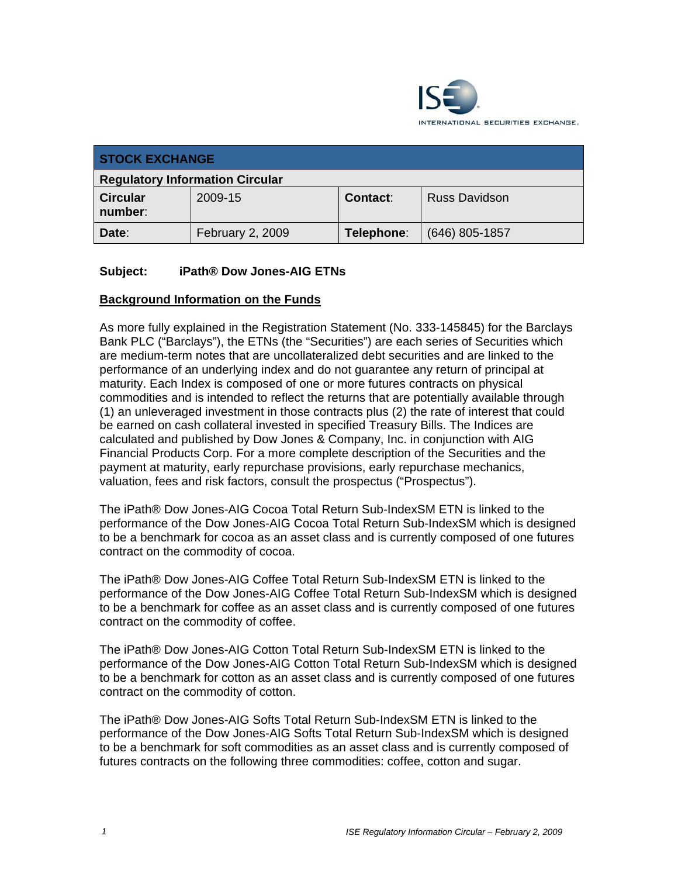

| <b>STOCK EXCHANGE</b>                  |                  |            |                      |  |
|----------------------------------------|------------------|------------|----------------------|--|
| <b>Regulatory Information Circular</b> |                  |            |                      |  |
| <b>Circular</b><br>number:             | 2009-15          | Contact:   | <b>Russ Davidson</b> |  |
| Date:                                  | February 2, 2009 | Telephone: | $(646)$ 805-1857     |  |

## **Subject: iPath® Dow Jones-AIG ETNs**

## **Background Information on the Funds**

As more fully explained in the Registration Statement (No. 333-145845) for the Barclays Bank PLC ("Barclays"), the ETNs (the "Securities") are each series of Securities which are medium-term notes that are uncollateralized debt securities and are linked to the performance of an underlying index and do not guarantee any return of principal at maturity. Each Index is composed of one or more futures contracts on physical commodities and is intended to reflect the returns that are potentially available through (1) an unleveraged investment in those contracts plus (2) the rate of interest that could be earned on cash collateral invested in specified Treasury Bills. The Indices are calculated and published by Dow Jones & Company, Inc. in conjunction with AIG Financial Products Corp. For a more complete description of the Securities and the payment at maturity, early repurchase provisions, early repurchase mechanics, valuation, fees and risk factors, consult the prospectus ("Prospectus").

The iPath® Dow Jones-AIG Cocoa Total Return Sub-IndexSM ETN is linked to the performance of the Dow Jones-AIG Cocoa Total Return Sub-IndexSM which is designed to be a benchmark for cocoa as an asset class and is currently composed of one futures contract on the commodity of cocoa.

The iPath® Dow Jones-AIG Coffee Total Return Sub-IndexSM ETN is linked to the performance of the Dow Jones-AIG Coffee Total Return Sub-IndexSM which is designed to be a benchmark for coffee as an asset class and is currently composed of one futures contract on the commodity of coffee.

The iPath® Dow Jones-AIG Cotton Total Return Sub-IndexSM ETN is linked to the performance of the Dow Jones-AIG Cotton Total Return Sub-IndexSM which is designed to be a benchmark for cotton as an asset class and is currently composed of one futures contract on the commodity of cotton.

The iPath® Dow Jones-AIG Softs Total Return Sub-IndexSM ETN is linked to the performance of the Dow Jones-AIG Softs Total Return Sub-IndexSM which is designed to be a benchmark for soft commodities as an asset class and is currently composed of futures contracts on the following three commodities: coffee, cotton and sugar.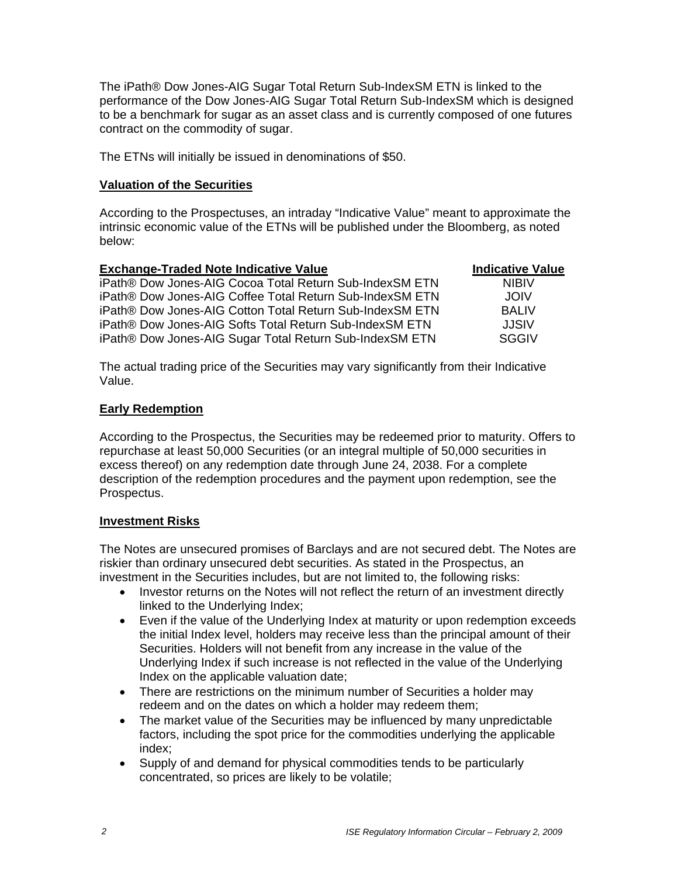The iPath® Dow Jones-AIG Sugar Total Return Sub-IndexSM ETN is linked to the performance of the Dow Jones-AIG Sugar Total Return Sub-IndexSM which is designed to be a benchmark for sugar as an asset class and is currently composed of one futures contract on the commodity of sugar.

The ETNs will initially be issued in denominations of \$50.

#### **Valuation of the Securities**

According to the Prospectuses, an intraday "Indicative Value" meant to approximate the intrinsic economic value of the ETNs will be published under the Bloomberg, as noted below:

| <b>Exchange-Traded Note Indicative Value</b>             | <b>Indicative Value</b> |
|----------------------------------------------------------|-------------------------|
| iPath® Dow Jones-AIG Cocoa Total Return Sub-IndexSM ETN  | <b>NIBIV</b>            |
| iPath® Dow Jones-AIG Coffee Total Return Sub-IndexSM ETN | <b>JOIV</b>             |
| iPath® Dow Jones-AIG Cotton Total Return Sub-IndexSM ETN | <b>BALIV</b>            |
| iPath® Dow Jones-AIG Softs Total Return Sub-IndexSM ETN  | JJSIV                   |
| iPath® Dow Jones-AIG Sugar Total Return Sub-IndexSM ETN  | <b>SGGIV</b>            |

The actual trading price of the Securities may vary significantly from their Indicative Value.

#### **Early Redemption**

According to the Prospectus, the Securities may be redeemed prior to maturity. Offers to repurchase at least 50,000 Securities (or an integral multiple of 50,000 securities in excess thereof) on any redemption date through June 24, 2038. For a complete description of the redemption procedures and the payment upon redemption, see the Prospectus.

#### **Investment Risks**

The Notes are unsecured promises of Barclays and are not secured debt. The Notes are riskier than ordinary unsecured debt securities. As stated in the Prospectus, an investment in the Securities includes, but are not limited to, the following risks:

- Investor returns on the Notes will not reflect the return of an investment directly linked to the Underlying Index;
- Even if the value of the Underlying Index at maturity or upon redemption exceeds the initial Index level, holders may receive less than the principal amount of their Securities. Holders will not benefit from any increase in the value of the Underlying Index if such increase is not reflected in the value of the Underlying Index on the applicable valuation date;
- There are restrictions on the minimum number of Securities a holder may redeem and on the dates on which a holder may redeem them;
- The market value of the Securities may be influenced by many unpredictable factors, including the spot price for the commodities underlying the applicable index;
- Supply of and demand for physical commodities tends to be particularly concentrated, so prices are likely to be volatile;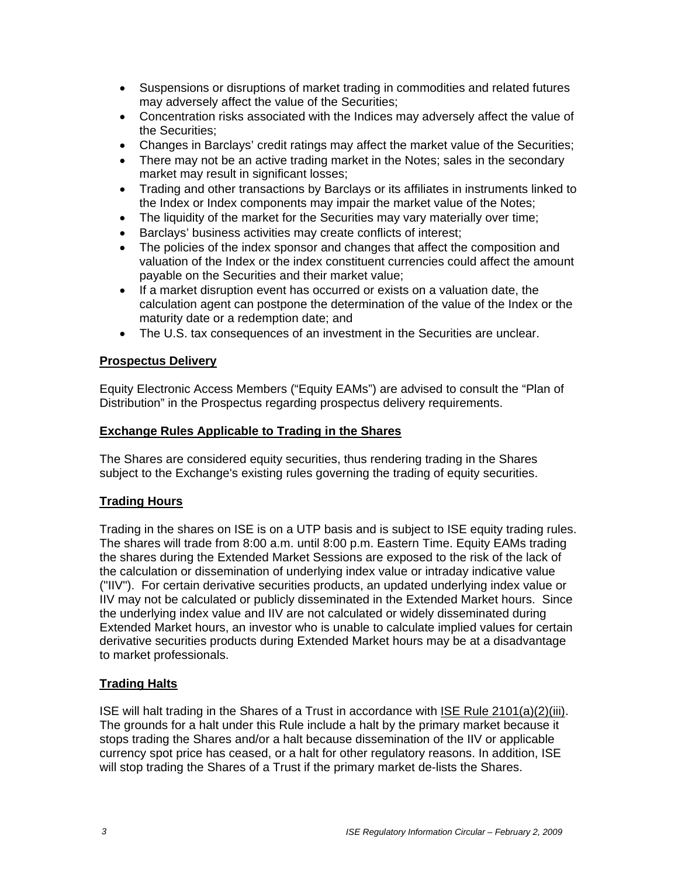- Suspensions or disruptions of market trading in commodities and related futures may adversely affect the value of the Securities;
- Concentration risks associated with the Indices may adversely affect the value of the Securities;
- Changes in Barclays' credit ratings may affect the market value of the Securities;
- There may not be an active trading market in the Notes; sales in the secondary market may result in significant losses;
- Trading and other transactions by Barclays or its affiliates in instruments linked to the Index or Index components may impair the market value of the Notes;
- The liquidity of the market for the Securities may vary materially over time;
- Barclays' business activities may create conflicts of interest;
- The policies of the index sponsor and changes that affect the composition and valuation of the Index or the index constituent currencies could affect the amount payable on the Securities and their market value;
- If a market disruption event has occurred or exists on a valuation date, the calculation agent can postpone the determination of the value of the Index or the maturity date or a redemption date; and
- The U.S. tax consequences of an investment in the Securities are unclear.

#### **Prospectus Delivery**

Equity Electronic Access Members ("Equity EAMs") are advised to consult the "Plan of Distribution" in the Prospectus regarding prospectus delivery requirements.

#### **Exchange Rules Applicable to Trading in the Shares**

The Shares are considered equity securities, thus rendering trading in the Shares subject to the Exchange's existing rules governing the trading of equity securities.

## **Trading Hours**

Trading in the shares on ISE is on a UTP basis and is subject to ISE equity trading rules. The shares will trade from 8:00 a.m. until 8:00 p.m. Eastern Time. Equity EAMs trading the shares during the Extended Market Sessions are exposed to the risk of the lack of the calculation or dissemination of underlying index value or intraday indicative value ("IIV"). For certain derivative securities products, an updated underlying index value or IIV may not be calculated or publicly disseminated in the Extended Market hours. Since the underlying index value and IIV are not calculated or widely disseminated during Extended Market hours, an investor who is unable to calculate implied values for certain derivative securities products during Extended Market hours may be at a disadvantage to market professionals.

## **Trading Halts**

ISE will halt trading in the Shares of a Trust in accordance with ISE Rule 2101(a)(2)(iii). The grounds for a halt under this Rule include a halt by the primary market because it stops trading the Shares and/or a halt because dissemination of the IIV or applicable currency spot price has ceased, or a halt for other regulatory reasons. In addition, ISE will stop trading the Shares of a Trust if the primary market de-lists the Shares.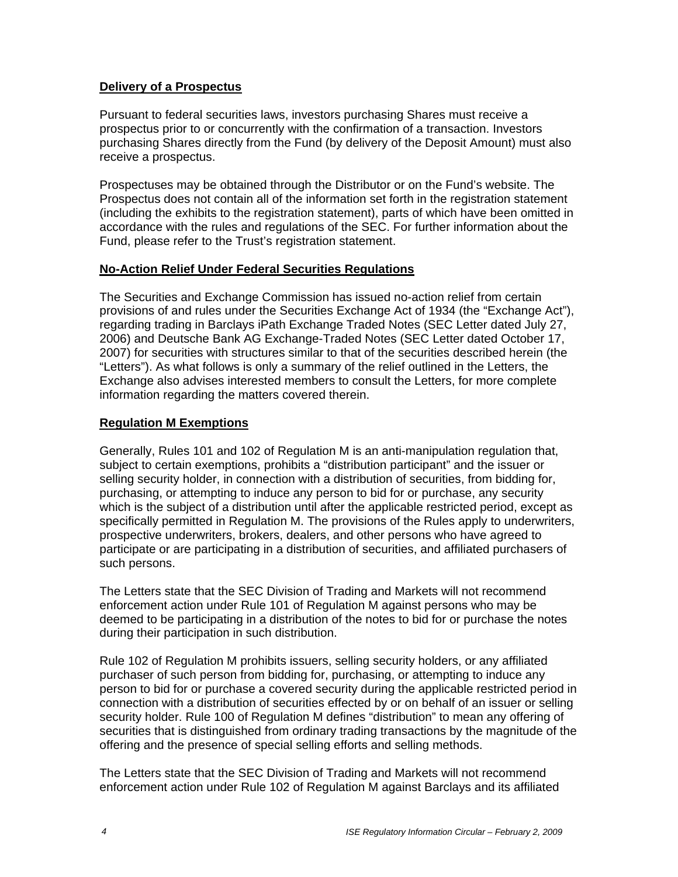## **Delivery of a Prospectus**

Pursuant to federal securities laws, investors purchasing Shares must receive a prospectus prior to or concurrently with the confirmation of a transaction. Investors purchasing Shares directly from the Fund (by delivery of the Deposit Amount) must also receive a prospectus.

Prospectuses may be obtained through the Distributor or on the Fund's website. The Prospectus does not contain all of the information set forth in the registration statement (including the exhibits to the registration statement), parts of which have been omitted in accordance with the rules and regulations of the SEC. For further information about the Fund, please refer to the Trust's registration statement.

## **No-Action Relief Under Federal Securities Regulations**

The Securities and Exchange Commission has issued no-action relief from certain provisions of and rules under the Securities Exchange Act of 1934 (the "Exchange Act"), regarding trading in Barclays iPath Exchange Traded Notes (SEC Letter dated July 27, 2006) and Deutsche Bank AG Exchange-Traded Notes (SEC Letter dated October 17, 2007) for securities with structures similar to that of the securities described herein (the "Letters"). As what follows is only a summary of the relief outlined in the Letters, the Exchange also advises interested members to consult the Letters, for more complete information regarding the matters covered therein.

## **Regulation M Exemptions**

Generally, Rules 101 and 102 of Regulation M is an anti-manipulation regulation that, subject to certain exemptions, prohibits a "distribution participant" and the issuer or selling security holder, in connection with a distribution of securities, from bidding for, purchasing, or attempting to induce any person to bid for or purchase, any security which is the subject of a distribution until after the applicable restricted period, except as specifically permitted in Regulation M. The provisions of the Rules apply to underwriters, prospective underwriters, brokers, dealers, and other persons who have agreed to participate or are participating in a distribution of securities, and affiliated purchasers of such persons.

The Letters state that the SEC Division of Trading and Markets will not recommend enforcement action under Rule 101 of Regulation M against persons who may be deemed to be participating in a distribution of the notes to bid for or purchase the notes during their participation in such distribution.

Rule 102 of Regulation M prohibits issuers, selling security holders, or any affiliated purchaser of such person from bidding for, purchasing, or attempting to induce any person to bid for or purchase a covered security during the applicable restricted period in connection with a distribution of securities effected by or on behalf of an issuer or selling security holder. Rule 100 of Regulation M defines "distribution" to mean any offering of securities that is distinguished from ordinary trading transactions by the magnitude of the offering and the presence of special selling efforts and selling methods.

The Letters state that the SEC Division of Trading and Markets will not recommend enforcement action under Rule 102 of Regulation M against Barclays and its affiliated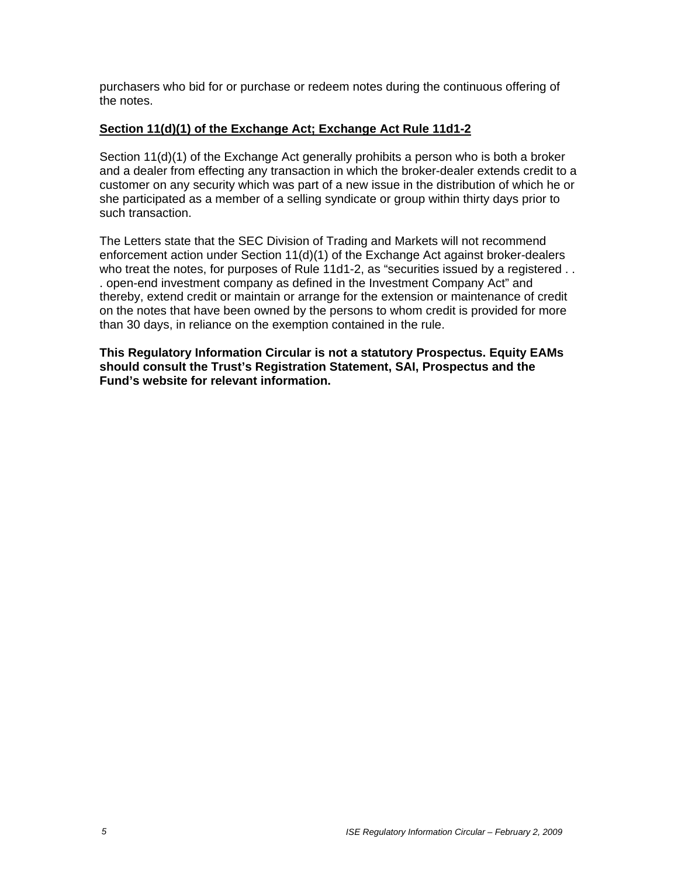purchasers who bid for or purchase or redeem notes during the continuous offering of the notes.

# **Section 11(d)(1) of the Exchange Act; Exchange Act Rule 11d1-2**

Section 11(d)(1) of the Exchange Act generally prohibits a person who is both a broker and a dealer from effecting any transaction in which the broker-dealer extends credit to a customer on any security which was part of a new issue in the distribution of which he or she participated as a member of a selling syndicate or group within thirty days prior to such transaction.

The Letters state that the SEC Division of Trading and Markets will not recommend enforcement action under Section 11(d)(1) of the Exchange Act against broker-dealers who treat the notes, for purposes of Rule 11d1-2, as "securities issued by a registered . . . open-end investment company as defined in the Investment Company Act" and thereby, extend credit or maintain or arrange for the extension or maintenance of credit on the notes that have been owned by the persons to whom credit is provided for more than 30 days, in reliance on the exemption contained in the rule.

**This Regulatory Information Circular is not a statutory Prospectus. Equity EAMs should consult the Trust's Registration Statement, SAI, Prospectus and the Fund's website for relevant information.**